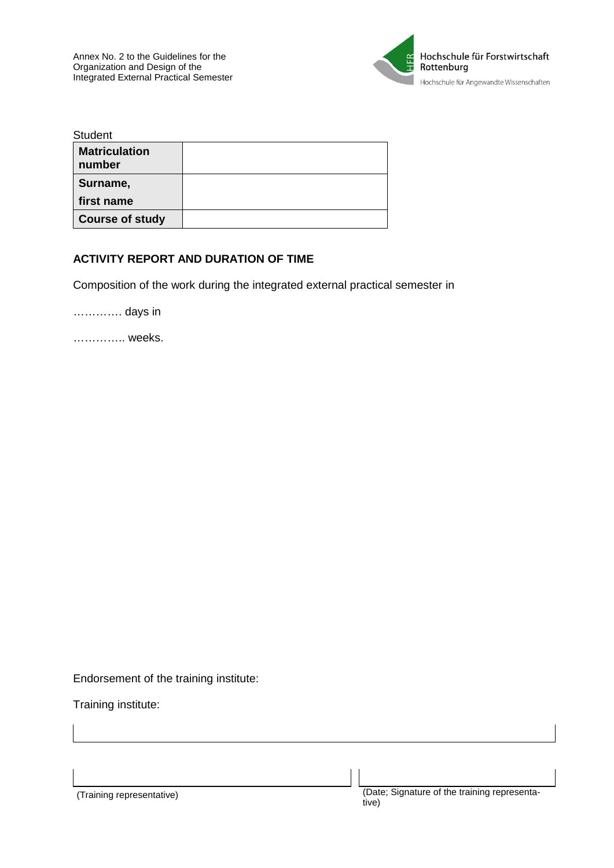

| <b>Student</b>                 |  |
|--------------------------------|--|
| <b>Matriculation</b><br>number |  |
| Surname,                       |  |
| first name                     |  |
| <b>Course of study</b>         |  |

## **ACTIVITY REPORT AND DURATION OF TIME**

Composition of the work during the integrated external practical semester in

…………. days in

………….. weeks.

Endorsement of the training institute:

Training institute: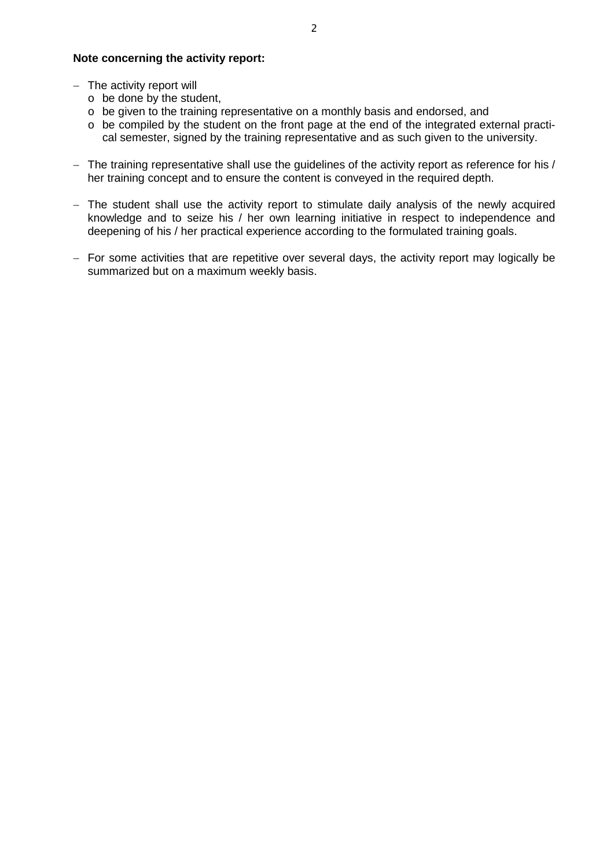## **Note concerning the activity report:**

- − The activity report will
	- o be done by the student,
	- o be given to the training representative on a monthly basis and endorsed, and
	- $\circ$  be compiled by the student on the front page at the end of the integrated external practical semester, signed by the training representative and as such given to the university.
- − The training representative shall use the guidelines of the activity report as reference for his / her training concept and to ensure the content is conveyed in the required depth.
- − The student shall use the activity report to stimulate daily analysis of the newly acquired knowledge and to seize his / her own learning initiative in respect to independence and deepening of his / her practical experience according to the formulated training goals.
- − For some activities that are repetitive over several days, the activity report may logically be summarized but on a maximum weekly basis.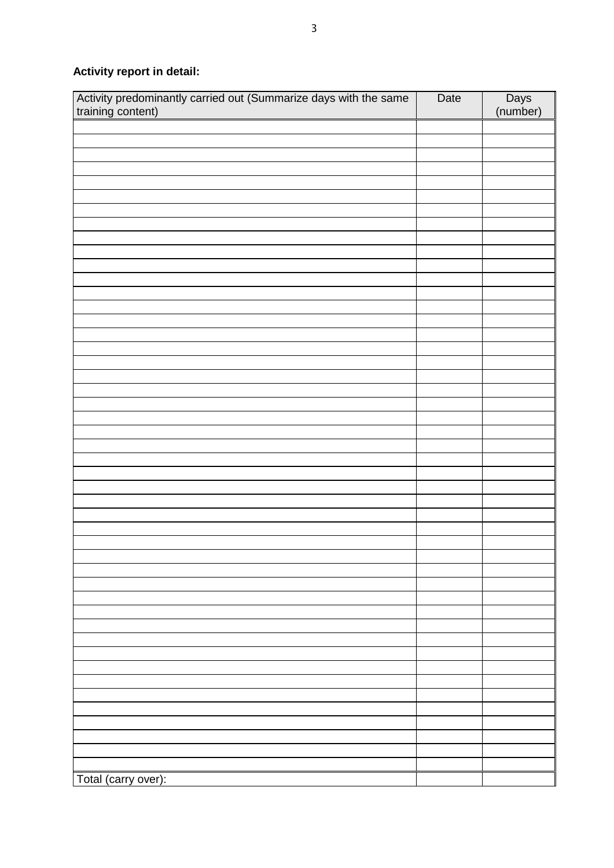**Activity report in detail:**

| Total (carry over): | Activity predominantly carried out (Summarize days with the same training content) | Date | Days<br>(number) |
|---------------------|------------------------------------------------------------------------------------|------|------------------|
|                     |                                                                                    |      |                  |
|                     |                                                                                    |      |                  |
|                     |                                                                                    |      |                  |
|                     |                                                                                    |      |                  |
|                     |                                                                                    |      |                  |
|                     |                                                                                    |      |                  |
|                     |                                                                                    |      |                  |
|                     |                                                                                    |      |                  |
|                     |                                                                                    |      |                  |
|                     |                                                                                    |      |                  |
|                     |                                                                                    |      |                  |
|                     |                                                                                    |      |                  |
|                     |                                                                                    |      |                  |
|                     |                                                                                    |      |                  |
|                     |                                                                                    |      |                  |
|                     |                                                                                    |      |                  |
|                     |                                                                                    |      |                  |
|                     |                                                                                    |      |                  |
|                     |                                                                                    |      |                  |
|                     |                                                                                    |      |                  |
|                     |                                                                                    |      |                  |
|                     |                                                                                    |      |                  |
|                     |                                                                                    |      |                  |
|                     |                                                                                    |      |                  |
|                     |                                                                                    |      |                  |
|                     |                                                                                    |      |                  |
|                     |                                                                                    |      |                  |
|                     |                                                                                    |      |                  |
|                     |                                                                                    |      |                  |
|                     |                                                                                    |      |                  |
|                     |                                                                                    |      |                  |
|                     |                                                                                    |      |                  |
|                     |                                                                                    |      |                  |
|                     |                                                                                    |      |                  |
|                     |                                                                                    |      |                  |
|                     |                                                                                    |      |                  |
|                     |                                                                                    |      |                  |
|                     |                                                                                    |      |                  |
|                     |                                                                                    |      |                  |
|                     |                                                                                    |      |                  |
|                     |                                                                                    |      |                  |
|                     |                                                                                    |      |                  |
|                     |                                                                                    |      |                  |
|                     |                                                                                    |      |                  |
|                     |                                                                                    |      |                  |
|                     |                                                                                    |      |                  |
|                     |                                                                                    |      |                  |
|                     |                                                                                    |      |                  |
|                     |                                                                                    |      |                  |